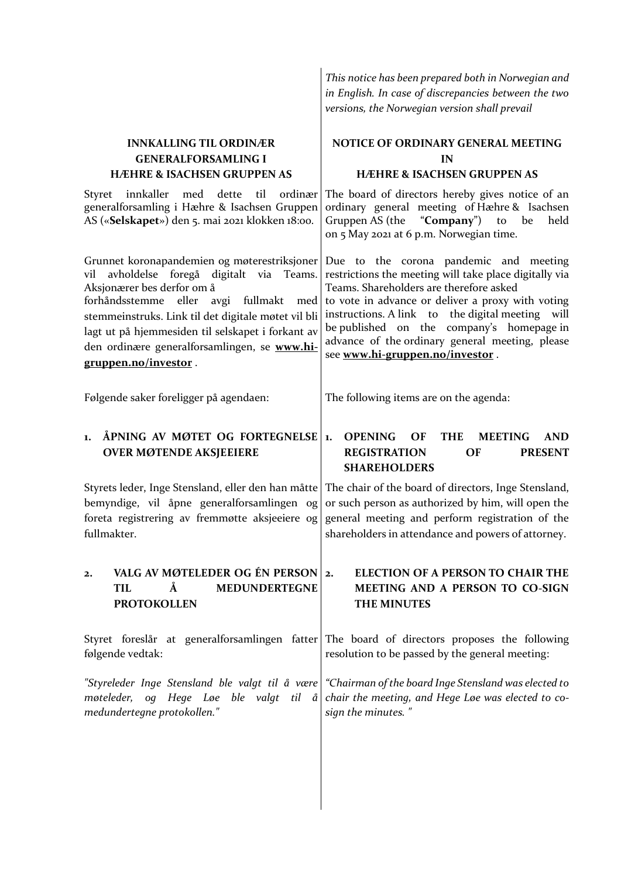|                                                                                                                                                                                                                                                                                                                                                                   | in English. In case of discrepancies between the two<br>versions, the Norwegian version shall prevail                                                                                                                                                                                                                                                                                   |
|-------------------------------------------------------------------------------------------------------------------------------------------------------------------------------------------------------------------------------------------------------------------------------------------------------------------------------------------------------------------|-----------------------------------------------------------------------------------------------------------------------------------------------------------------------------------------------------------------------------------------------------------------------------------------------------------------------------------------------------------------------------------------|
| <b>INNKALLING TIL ORDINÆR</b><br><b>GENERALFORSAMLING I</b><br><b>HÆHRE &amp; ISACHSEN GRUPPEN AS</b>                                                                                                                                                                                                                                                             | NOTICE OF ORDINARY GENERAL MEETING<br>IN<br><b>HÆHRE &amp; ISACHSEN GRUPPEN AS</b>                                                                                                                                                                                                                                                                                                      |
| Styret<br>innkaller<br>med<br>dette<br>til<br>ordinær<br>generalforsamling i Hæhre & Isachsen Gruppen<br>AS («Selskapet») den 5. mai 2021 klokken 18:00.                                                                                                                                                                                                          | The board of directors hereby gives notice of an<br>ordinary general meeting of Hæhre & Isachsen<br>Gruppen AS (the "Company")<br>to<br>be<br>held<br>on 5 May 2021 at 6 p.m. Norwegian time.                                                                                                                                                                                           |
| Grunnet koronapandemien og møterestriksjoner<br>avholdelse foregå digitalt via Teams.<br>vil<br>Aksjonærer bes derfor om å<br>forhåndsstemme eller<br>avgi<br>fullmakt<br>med<br>stemmeinstruks. Link til det digitale møtet vil bli<br>lagt ut på hjemmesiden til selskapet i forkant av<br>den ordinære generalforsamlingen, se www.hi-<br>gruppen.no/investor. | Due to the corona pandemic and meeting<br>restrictions the meeting will take place digitally via<br>Teams. Shareholders are therefore asked<br>to vote in advance or deliver a proxy with voting<br>instructions. A link to the digital meeting will<br>be published on the company's homepage in<br>advance of the ordinary general meeting, please<br>see www.hi-gruppen.no/investor. |
| Følgende saker foreligger på agendaen:                                                                                                                                                                                                                                                                                                                            | The following items are on the agenda:                                                                                                                                                                                                                                                                                                                                                  |
| ÅPNING AV MØTET OG FORTEGNELSE<br>1.<br><b>OVER MØTENDE AKSJEEIERE</b>                                                                                                                                                                                                                                                                                            | <b>OPENING</b><br><b>THE</b><br>OF<br><b>MEETING</b><br><b>AND</b><br>1.<br><b>REGISTRATION</b><br><b>PRESENT</b><br><b>OF</b><br><b>SHAREHOLDERS</b>                                                                                                                                                                                                                                   |
| Styrets leder, Inge Stensland, eller den han måtte<br>bemyndige, vil åpne generalforsamlingen og<br>foreta registrering av fremmøtte aksjeeiere og<br>fullmakter.                                                                                                                                                                                                 | The chair of the board of directors, Inge Stensland,<br>or such person as authorized by him, will open the<br>general meeting and perform registration of the<br>shareholders in attendance and powers of attorney.                                                                                                                                                                     |
| VALG AV MØTELEDER OG ÉN PERSON 2.<br>$\mathbf{2}$<br>Å<br><b>MEDUNDERTEGNE</b><br><b>TIL</b><br><b>PROTOKOLLEN</b>                                                                                                                                                                                                                                                | <b>ELECTION OF A PERSON TO CHAIR THE</b><br>MEETING AND A PERSON TO CO-SIGN<br><b>THE MINUTES</b>                                                                                                                                                                                                                                                                                       |
| Styret foreslår at generalforsamlingen fatter<br>følgende vedtak:                                                                                                                                                                                                                                                                                                 | The board of directors proposes the following<br>resolution to be passed by the general meeting:                                                                                                                                                                                                                                                                                        |
| "Styreleder Inge Stensland ble valgt til å være<br>møteleder,<br>og Hege Løe ble valgt<br>til å<br>medundertegne protokollen."                                                                                                                                                                                                                                    | "Chairman of the board Inge Stensland was elected to<br>chair the meeting, and Hege Løe was elected to co-<br>sign the minutes."                                                                                                                                                                                                                                                        |
|                                                                                                                                                                                                                                                                                                                                                                   |                                                                                                                                                                                                                                                                                                                                                                                         |

*This notice has been prepared both in Norwegian and*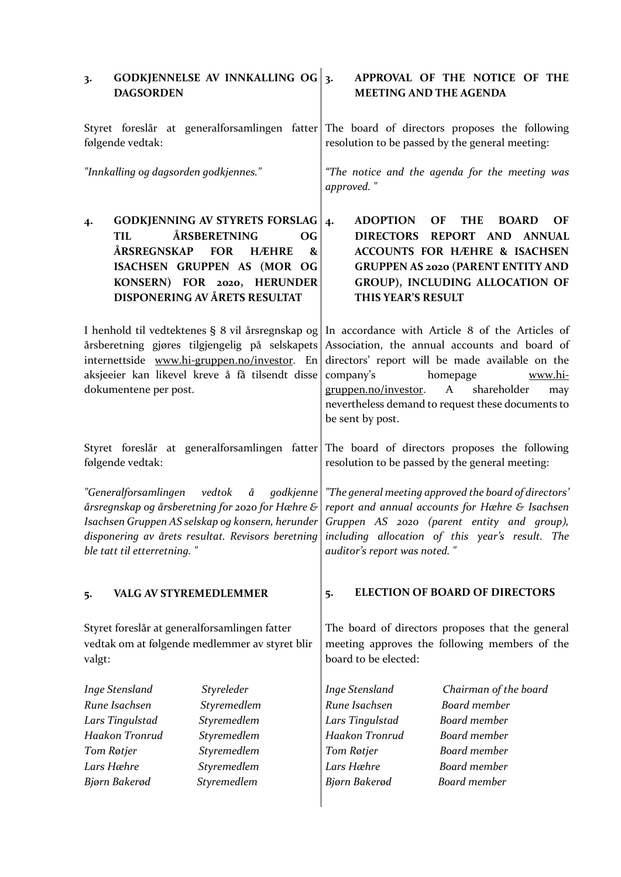| 3.                                                                                                                                                                                                                                                                                                                                                                                                                                | <b>DAGSORDEN</b>                                                                   | <b>GODKJENNELSE AV INNKALLING OG</b>                                                                                                                                                                 | 3.                                                                                                                                             | <b>MEETING AND THE AGENDA</b>                                               | APPROVAL OF THE NOTICE OF THE                                                                                                                                                                                                                                                                               |  |
|-----------------------------------------------------------------------------------------------------------------------------------------------------------------------------------------------------------------------------------------------------------------------------------------------------------------------------------------------------------------------------------------------------------------------------------|------------------------------------------------------------------------------------|------------------------------------------------------------------------------------------------------------------------------------------------------------------------------------------------------|------------------------------------------------------------------------------------------------------------------------------------------------|-----------------------------------------------------------------------------|-------------------------------------------------------------------------------------------------------------------------------------------------------------------------------------------------------------------------------------------------------------------------------------------------------------|--|
| følgende vedtak:                                                                                                                                                                                                                                                                                                                                                                                                                  |                                                                                    |                                                                                                                                                                                                      | Styret foreslår at generalforsamlingen fatter The board of directors proposes the following<br>resolution to be passed by the general meeting: |                                                                             |                                                                                                                                                                                                                                                                                                             |  |
|                                                                                                                                                                                                                                                                                                                                                                                                                                   | "Innkalling og dagsorden godkjennes."                                              |                                                                                                                                                                                                      | "The notice and the agenda for the meeting was<br>approved."                                                                                   |                                                                             |                                                                                                                                                                                                                                                                                                             |  |
| 4.                                                                                                                                                                                                                                                                                                                                                                                                                                | <b>TIL</b><br>ÅRSREGNSKAP                                                          | <b>GODKJENNING AV STYRETS FORSLAG</b><br>ÅRSBERETNING<br><b>OG</b><br><b>FOR</b><br><b>HÆHRE</b><br>&<br>ISACHSEN GRUPPEN AS (MOR OG<br>KONSERN) FOR 2020, HERUNDER<br>DISPONERING AV ÅRETS RESULTAT | 4.                                                                                                                                             | <b>ADOPTION</b><br>THIS YEAR'S RESULT                                       | OF<br><b>THE</b><br><b>BOARD</b><br>OF<br>DIRECTORS REPORT AND ANNUAL<br><b>ACCOUNTS FOR HÆHRE &amp; ISACHSEN</b><br><b>GRUPPEN AS 2020 (PARENT ENTITY AND</b><br>GROUP), INCLUDING ALLOCATION OF                                                                                                           |  |
|                                                                                                                                                                                                                                                                                                                                                                                                                                   | dokumentene per post.                                                              | årsberetning gjøres tilgjengelig på selskapets<br>internettside www.hi-gruppen.no/investor. En<br>aksjeeier kan likevel kreve å få tilsendt disse                                                    | company's                                                                                                                                      | gruppen.no/investor.<br>be sent by post.                                    | I henhold til vedtektenes § 8 vil årsregnskap og In accordance with Article 8 of the Articles of<br>Association, the annual accounts and board of<br>directors' report will be made available on the<br>homepage<br>www.hi-<br>A<br>shareholder<br>may<br>nevertheless demand to request these documents to |  |
|                                                                                                                                                                                                                                                                                                                                                                                                                                   | følgende vedtak:                                                                   | Styret foreslår at generalforsamlingen fatter                                                                                                                                                        |                                                                                                                                                |                                                                             | The board of directors proposes the following<br>resolution to be passed by the general meeting:                                                                                                                                                                                                            |  |
| "Generalforsamlingen vedtok å godkjenne<br>årsregnskap og årsberetning for 2020 for Hæhre & $\mid$ report and annual accounts for Hæhre & Isachsen<br>Isachsen Gruppen AS selskap og konsern, herunder Gruppen AS 2020 (parent entity and group),<br>disponering av årets resultat. Revisors beretning $\vert$ including $\,$ allocation $\,$ of $\,$ this $\,$ year's $\,$ result. $\,$ The $\,$<br>ble tatt til etterretning. " |                                                                                    |                                                                                                                                                                                                      | auditor's report was noted."                                                                                                                   | "The general meeting approved the board of directors'                       |                                                                                                                                                                                                                                                                                                             |  |
| 5.                                                                                                                                                                                                                                                                                                                                                                                                                                | <b>VALG AV STYREMEDLEMMER</b>                                                      |                                                                                                                                                                                                      | 5.                                                                                                                                             |                                                                             | <b>ELECTION OF BOARD OF DIRECTORS</b>                                                                                                                                                                                                                                                                       |  |
| valgt:                                                                                                                                                                                                                                                                                                                                                                                                                            |                                                                                    | Styret foreslår at generalforsamlingen fatter<br>vedtak om at følgende medlemmer av styret blir                                                                                                      |                                                                                                                                                | board to be elected:                                                        | The board of directors proposes that the general<br>meeting approves the following members of the                                                                                                                                                                                                           |  |
|                                                                                                                                                                                                                                                                                                                                                                                                                                   | Inge Stensland<br>Rune Isachsen<br>Lars Tingulstad<br>Haakon Tronrud<br>Tom Røtjer | Styreleder<br>Styremedlem<br>Styremedlem<br>Styremedlem<br>Styremedlem                                                                                                                               | Tom Røtjer                                                                                                                                     | <b>Inge Stensland</b><br>Rune Isachsen<br>Lars Tingulstad<br>Haakon Tronrud | Chairman of the board<br><b>Board</b> member<br>Board member<br><b>Board</b> member<br><b>Board</b> member                                                                                                                                                                                                  |  |
|                                                                                                                                                                                                                                                                                                                                                                                                                                   | Lars Hæhre                                                                         | Styremedlem                                                                                                                                                                                          |                                                                                                                                                | Lars Hæhre                                                                  | Board member                                                                                                                                                                                                                                                                                                |  |
|                                                                                                                                                                                                                                                                                                                                                                                                                                   | Bjørn Bakerød                                                                      | Styremedlem                                                                                                                                                                                          |                                                                                                                                                | Bjørn Bakerød                                                               | Board member                                                                                                                                                                                                                                                                                                |  |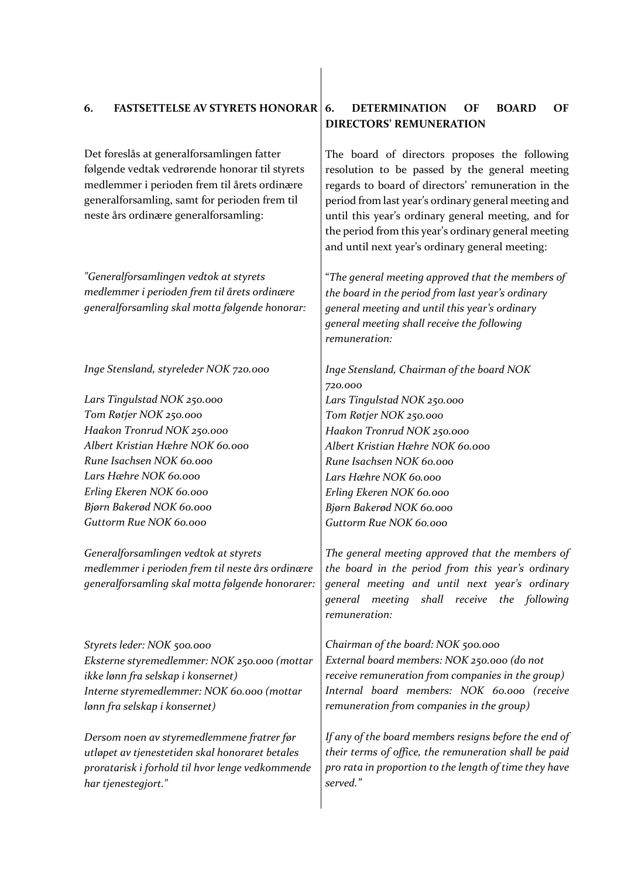# **6. FASTSETTELSE AV STYRETS HONORAR**

Det foreslås at generalforsamlingen fatter følgende vedtak vedrørende honorar til styrets medlemmer i perioden frem til årets ordinære generalforsamling, samt for perioden frem til neste års ordinære generalforsamling:

*"Generalforsamlingen vedtok at styrets medlemmer i perioden frem til årets ordinære generalforsamling skal motta følgende honorar:* 

*Inge Stensland, styreleder NOK 720.000*

*Lars Tingulstad NOK 250.000 Tom Røtjer NOK 250.000 Haakon Tronrud NOK 250.000 Albert Kristian Hæhre NOK 60.000 Rune Isachsen NOK 60.000 Lars Hæhre NOK 60.000 Erling Ekeren NOK 60.000 Bjørn Bakerød NOK 60.000 Guttorm Rue NOK 60.000*

*Generalforsamlingen vedtok at styrets medlemmer i perioden frem til neste års ordinære generalforsamling skal motta følgende honorarer:* 

*Styrets leder: NOK 500.000 Eksterne styremedlemmer: NOK 250.000 (mottar ikke lønn fra selskap i konsernet) Interne styremedlemmer: NOK 60.000 (mottar lønn fra selskap i konsernet)*

*Dersom noen av styremedlemmene fratrer før utløpet av tjenestetiden skal honoraret betales proratarisk i forhold til hvor lenge vedkommende har tjenestegjort."*

## **6. DETERMINATION OF BOARD OF DIRECTORS' REMUNERATION**

The board of directors proposes the following resolution to be passed by the general meeting regards to board of directors' remuneration in the period from last year's ordinary general meeting and until this year's ordinary general meeting, and for the period from this year's ordinary general meeting and until next year's ordinary general meeting:

"*The general meeting approved that the members of the board in the period from last year's ordinary general meeting and until this year's ordinary general meeting shall receive the following remuneration:*

*Inge Stensland, Chairman of the board NOK 720.000 Lars Tingulstad NOK 250.000 Tom Røtjer NOK 250.000 Haakon Tronrud NOK 250.000 Albert Kristian Hæhre NOK 60.000 Rune Isachsen NOK 60.000 Lars Hæhre NOK 60.000 Erling Ekeren NOK 60.000 Bjørn Bakerød NOK 60.000 Guttorm Rue NOK 60.000*

*The general meeting approved that the members of the board in the period from this year's ordinary general meeting and until next year's ordinary general meeting shall receive the following remuneration:*

*Chairman of the board: NOK 500.000 External board members: NOK 250.000 (do not receive remuneration from companies in the group) Internal board members: NOK 60.000 (receive remuneration from companies in the group)*

*If any of the board members resigns before the end of their terms of office, the remuneration shall be paid pro rata in proportion to the length of time they have served."*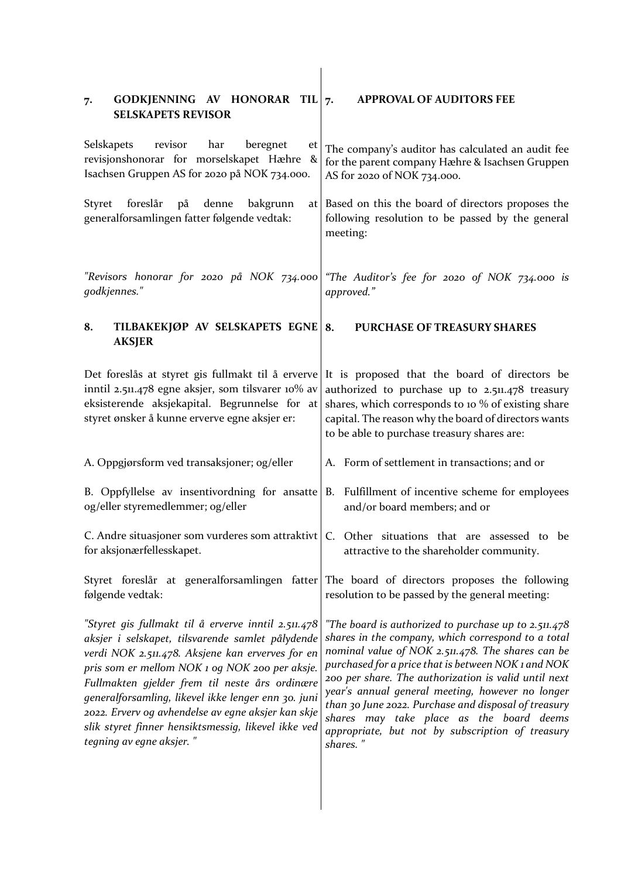| GODKJENNING AV HONORAR TIL $7$ .<br>7.<br><b>SELSKAPETS REVISOR</b>                                                                                                                                                                                                                                                                                                                                                                                             | <b>APPROVAL OF AUDITORS FEE</b>                                                                                                                                                                                                                                                                                                                                                                                                                                                                        |
|-----------------------------------------------------------------------------------------------------------------------------------------------------------------------------------------------------------------------------------------------------------------------------------------------------------------------------------------------------------------------------------------------------------------------------------------------------------------|--------------------------------------------------------------------------------------------------------------------------------------------------------------------------------------------------------------------------------------------------------------------------------------------------------------------------------------------------------------------------------------------------------------------------------------------------------------------------------------------------------|
| Selskapets<br>revisor<br>har<br>beregnet<br>et  <br>revisjonshonorar for morselskapet Hæhre<br>$\mathbf{g}$<br>Isachsen Gruppen AS for 2020 på NOK 734.000.                                                                                                                                                                                                                                                                                                     | The company's auditor has calculated an audit fee<br>for the parent company Hæhre & Isachsen Gruppen<br>AS for 2020 of NOK 734.000.                                                                                                                                                                                                                                                                                                                                                                    |
| foreslår<br>Styret<br>på<br>denne<br>bakgrunn<br>generalforsamlingen fatter følgende vedtak:                                                                                                                                                                                                                                                                                                                                                                    | at Based on this the board of directors proposes the<br>following resolution to be passed by the general<br>meeting:                                                                                                                                                                                                                                                                                                                                                                                   |
| "Revisors honorar for 2020 på NOK 734.000<br>godkjennes."                                                                                                                                                                                                                                                                                                                                                                                                       | "The Auditor's fee for 2020 of NOK 734.000 is<br>approved."                                                                                                                                                                                                                                                                                                                                                                                                                                            |
| TILBAKEKJØP AV SELSKAPETS EGNE 8.<br>8.<br><b>AKSJER</b>                                                                                                                                                                                                                                                                                                                                                                                                        | PURCHASE OF TREASURY SHARES                                                                                                                                                                                                                                                                                                                                                                                                                                                                            |
| inntil 2.511.478 egne aksjer, som tilsvarer 10% av<br>eksisterende aksjekapital. Begrunnelse for at<br>styret ønsker å kunne erverve egne aksjer er:                                                                                                                                                                                                                                                                                                            | Det foreslås at styret gis fullmakt til å erverve It is proposed that the board of directors be<br>authorized to purchase up to 2.511.478 treasury<br>shares, which corresponds to 10 % of existing share<br>capital. The reason why the board of directors wants<br>to be able to purchase treasury shares are:                                                                                                                                                                                       |
| A. Oppgjørsform ved transaksjoner; og/eller                                                                                                                                                                                                                                                                                                                                                                                                                     | A. Form of settlement in transactions; and or                                                                                                                                                                                                                                                                                                                                                                                                                                                          |
| og/eller styremedlemmer; og/eller                                                                                                                                                                                                                                                                                                                                                                                                                               | B. Oppfyllelse av insentivordning for ansatte B. Fulfillment of incentive scheme for employees<br>and/or board members; and or                                                                                                                                                                                                                                                                                                                                                                         |
| for aksjonærfellesskapet.                                                                                                                                                                                                                                                                                                                                                                                                                                       | C. Andre situasjoner som vurderes som attraktivt $ C$ . Other situations that are assessed to be<br>attractive to the shareholder community.                                                                                                                                                                                                                                                                                                                                                           |
| følgende vedtak:                                                                                                                                                                                                                                                                                                                                                                                                                                                | Styret foreslår at generalforsamlingen fatter The board of directors proposes the following<br>resolution to be passed by the general meeting:                                                                                                                                                                                                                                                                                                                                                         |
| "Styret gis fullmakt til å erverve inntil 2.511.478<br>aksjer i selskapet, tilsvarende samlet pålydende<br>verdi NOK 2.511.478. Aksjene kan erverves for en<br>pris som er mellom NOK 1 og NOK 200 per aksje.<br>Fullmakten gjelder frem til neste års ordinære<br>generalforsamling, likevel ikke lenger enn 30. juni<br>2022. Erverv og avhendelse av egne aksjer kan skje<br>slik styret finner hensiktsmessig, likevel ikke ved<br>tegning av egne aksjer." | "The board is authorized to purchase up to 2.511.478<br>shares in the company, which correspond to a total<br>nominal value of NOK 2.511.478. The shares can be<br>purchased for a price that is between NOK 1 and NOK<br>200 per share. The authorization is valid until next<br>year's annual general meeting, however no longer<br>than 30 June 2022. Purchase and disposal of treasury<br>shares may take place as the board deems<br>appropriate, but not by subscription of treasury<br>shares." |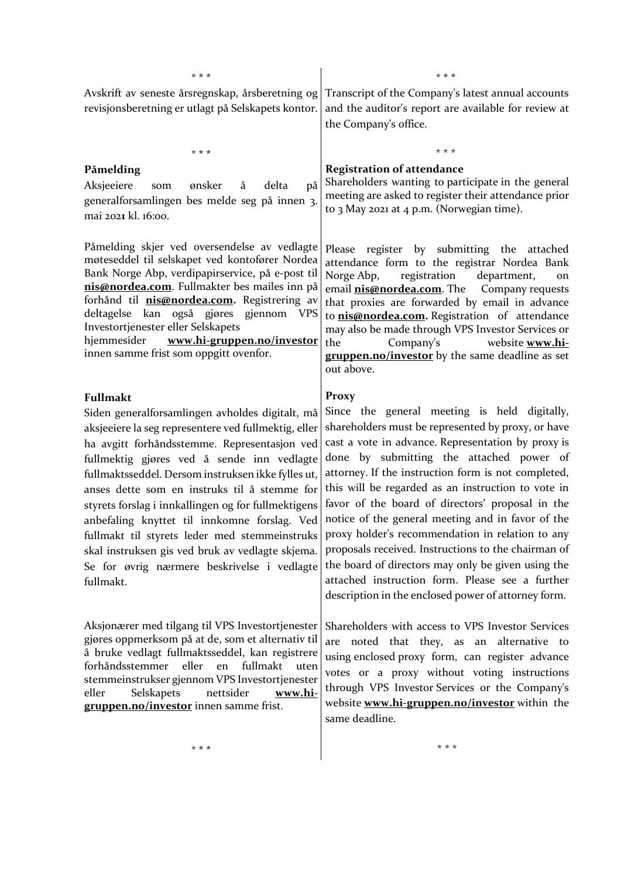\* **\* \***

Avskrift av seneste årsregnskap, årsberetning og revisjonsberetning er utlagt på Selskapets kontor.

#### **Påmelding**

Aksjeeiere som ønsker å delta på generalforsamlingen bes melde seg på innen 3. mai 202**1** kl. 16:00.

\* **\* \***

Påmelding skjer ved oversendelse av vedlagte møteseddel til selskapet ved kontofører Nordea Bank Norge Abp, verdipapirservice, på e-post til **[nis@nordea.com](mailto:nis@nordea.com)**. Fullmakter bes mailes inn på forhånd til **[nis@nordea.com.](mailto:nis@nordea.com)** Registrering av deltagelse kan også gjøres gjennom VPS Investortjenester eller Selskapets

hjemmesider **[www.hi-gruppen.no/investor](http://www.hi-gruppen.no/investor)** innen samme frist som oppgitt ovenfor.

#### **Fullmakt**

Siden generalforsamlingen avholdes digitalt, må aksjeeiere la seg representere ved fullmektig, eller ha avgitt forhåndsstemme. Representasjon ved fullmektig gjøres ved å sende inn vedlagte fullmaktsseddel. Dersom instruksen ikke fylles ut, anses dette som en instruks til å stemme for styrets forslag i innkallingen og for fullmektigens anbefaling knyttet til innkomne forslag. Ved fullmakt til styrets leder med stemmeinstruks skal instruksen gis ved bruk av vedlagte skjema. Se for øvrig nærmere beskrivelse i vedlagte fullmakt.

Aksjonærer med tilgang til VPS Investortjenester gjøres oppmerksom på at de, som et alternativ til å bruke vedlagt fullmaktsseddel, kan registrere forhåndsstemmer eller en fullmakt uten stemmeinstrukser gjennom VPS Investortjenester eller Selskapets nettsider **[www.hi](http://www.hi-gruppen.no/investor)[gruppen.no/investor](http://www.hi-gruppen.no/investor)** innen samme frist.

Transcript of the Company's latest annual accounts and the auditor's report are available for review at the Company's office.

\* **\* \***

#### **Registration of attendance**

Shareholders wanting to participate in the general meeting are asked to register their attendance prior to 3 May 2021 at 4 p.m. (Norwegian time).

\* \* \*

Please register by submitting the attached attendance form to the registrar Nordea Bank Norge Abp, registration department, on email **[nis@nordea.com](mailto:nis@nordea.com)**. The Company requests that proxies are forwarded by email in advance to **[nis@nordea.com.](mailto:nis@nordea.com)** Registration of attendance may also be made through VPS Investor Services or the Company's website **[www.hi](http://www.hi-gruppen.no/investor)[gruppen.no/investor](http://www.hi-gruppen.no/investor)** by the same deadline as set out above.

#### **Proxy**

Since the general meeting is held digitally, shareholders must be represented by proxy, or have cast a vote in advance. Representation by proxy is done by submitting the attached power of attorney. If the instruction form is not completed, this will be regarded as an instruction to vote in favor of the board of directors' proposal in the notice of the general meeting and in favor of the proxy holder's recommendation in relation to any proposals received. Instructions to the chairman of the board of directors may only be given using the attached instruction form. Please see a further description in the enclosed power of attorney form.

Shareholders with access to VPS Investor Services are noted that they, as an alternative to using enclosed proxy form, can register advance votes or a proxy without voting instructions through VPS Investor Services or the Company's website **[www.hi-gruppen.no/investor](http://www.hi-gruppen.no/investor)** within the same deadline.

\* \* \*

\* **\* \***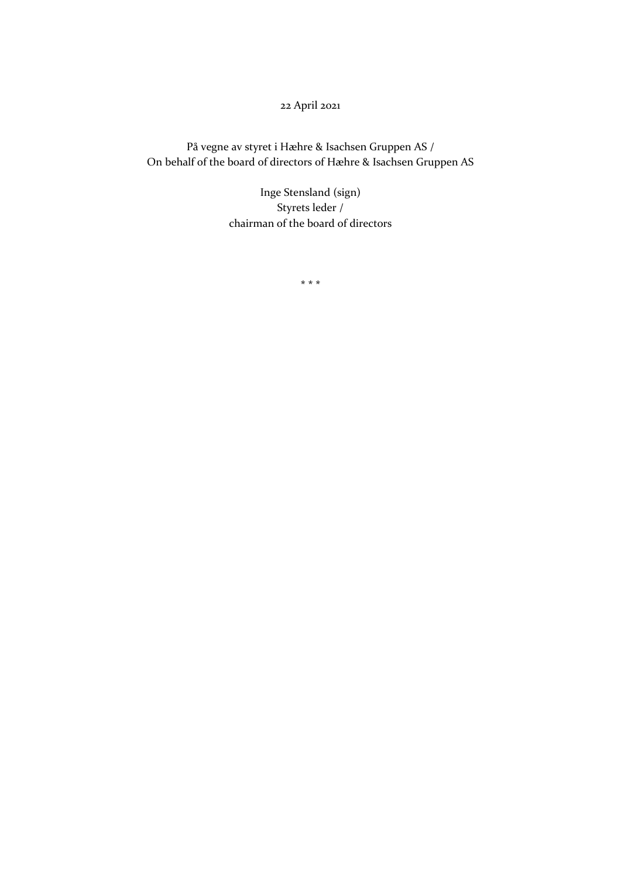22 April 2021

På vegne av styret i Hæhre & Isachsen Gruppen AS / On behalf of the board of directors of Hæhre & Isachsen Gruppen AS

> Inge Stensland (sign) Styrets leder / chairman of the board of directors

> > **\* \* \***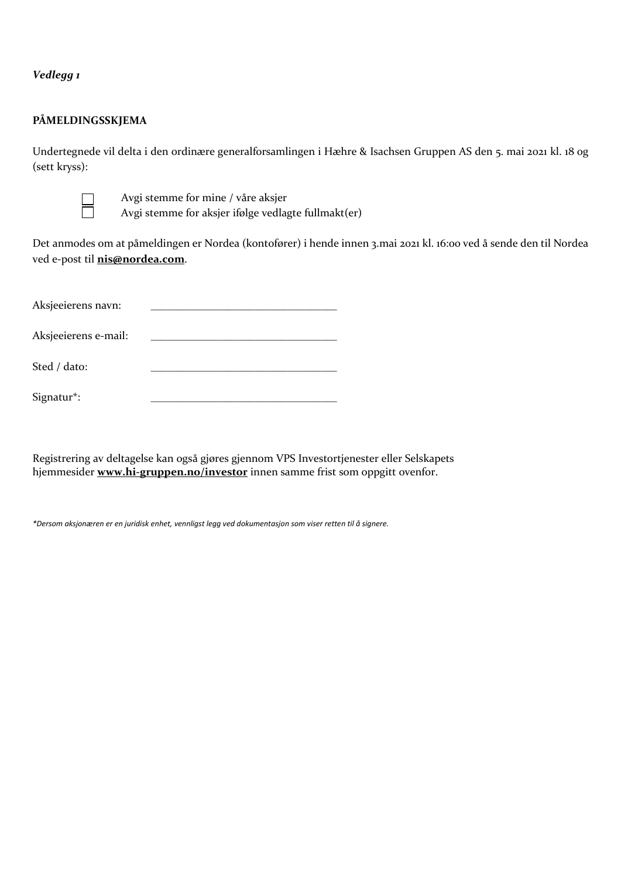*Vedlegg 1*

### **PÅMELDINGSSKJEMA**

Undertegnede vil delta i den ordinære generalforsamlingen i Hæhre & Isachsen Gruppen AS den 5. mai 2021 kl. 18 og (sett kryss):



Avgi stemme for mine / våre aksjer

Avgi stemme for aksjer ifølge vedlagte fullmakt(er)

Det anmodes om at påmeldingen er Nordea (kontofører) i hende innen 3.mai 2021 kl. 16:00 ved å sende den til Nordea ved e-post til **[nis@nordea.com](mailto:nis@nordea.com)**.

| Aksjeeierens navn:   |  |
|----------------------|--|
| Aksjeeierens e-mail: |  |
| Sted / dato:         |  |
| Signatur*:           |  |

Registrering av deltagelse kan også gjøres gjennom VPS Investortjenester eller Selskapets hjemmesider **[www.hi-gruppen.no/investor](http://www.hi-gruppen.no/investor)** innen samme frist som oppgitt ovenfor.

*\*Dersom aksjonæren er en juridisk enhet, vennligst legg ved dokumentasjon som viser retten til å signere.*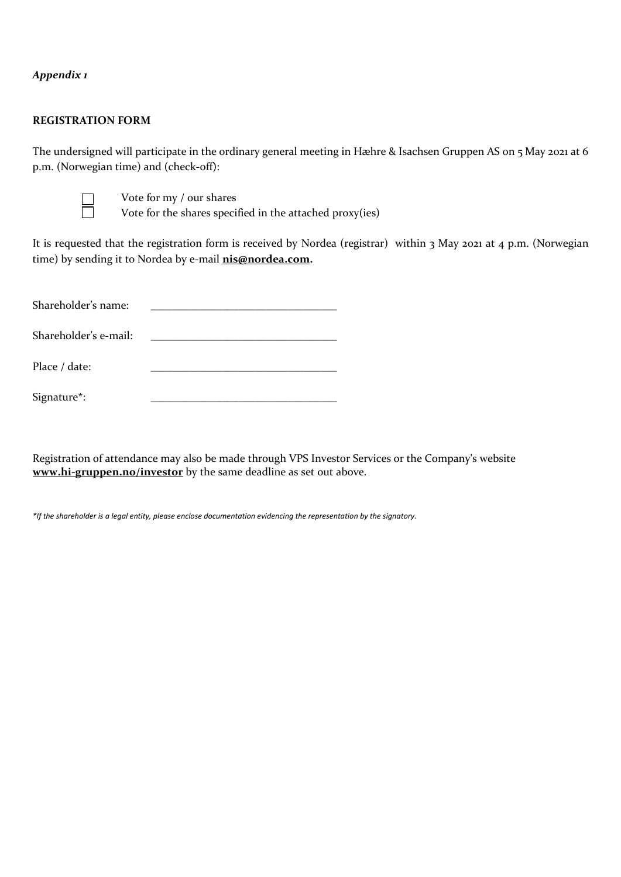## *Appendix 1*

### **REGISTRATION FORM**

The undersigned will participate in the ordinary general meeting in Hæhre & Isachsen Gruppen AS on 5 May 2021 at 6 p.m. (Norwegian time) and (check-off):



Vote for my / our shares

Vote for the shares specified in the attached proxy(ies)

It is requested that the registration form is received by Nordea (registrar) within 3 May 2021 at 4 p.m. (Norwegian time) by sending it to Nordea by e-mail **[nis@nordea.com.](mailto:nis@nordea.com)**

| Shareholder's name:   |  |
|-----------------------|--|
| Shareholder's e-mail: |  |
| Place / date:         |  |
| Signature*:           |  |

Registration of attendance may also be made through VPS Investor Services or the Company's website **[www.hi-gruppen.no/investor](http://www.hi-gruppen.no/investor)** by the same deadline as set out above.

*\*If the shareholder is a legal entity, please enclose documentation evidencing the representation by the signatory.*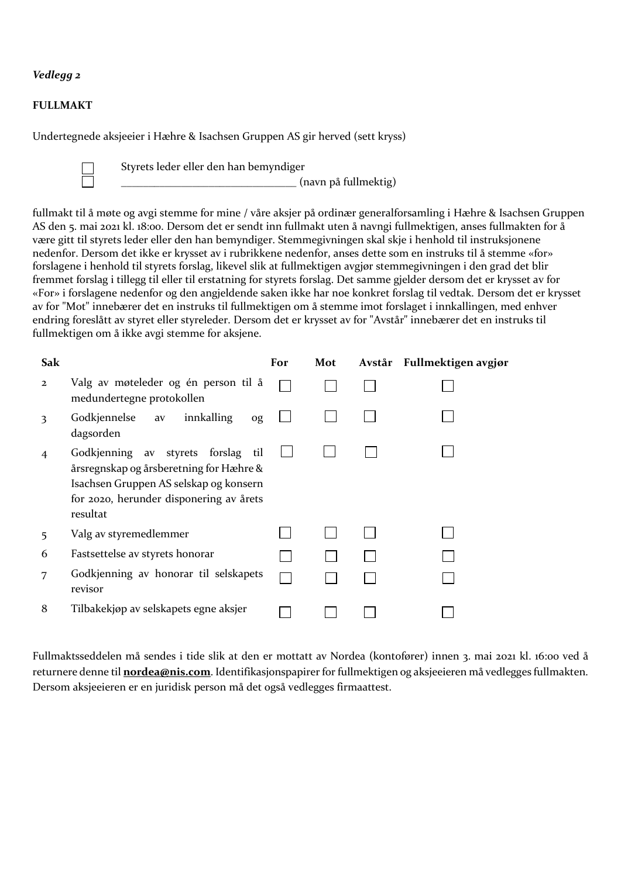## *Vedlegg 2*

### **FULLMAKT**

Undertegnede aksjeeier i Hæhre & Isachsen Gruppen AS gir herved (sett kryss)

Styrets leder eller den han bemyndiger

\_\_\_\_\_\_\_\_\_\_\_\_\_\_\_\_\_\_\_\_\_\_\_\_\_\_\_\_\_\_\_\_ (navn på fullmektig)

fullmakt til å møte og avgi stemme for mine / våre aksjer på ordinær generalforsamling i Hæhre & Isachsen Gruppen AS den 5. mai 2021 kl. 18:00. Dersom det er sendt inn fullmakt uten å navngi fullmektigen, anses fullmakten for å være gitt til styrets leder eller den han bemyndiger. Stemmegivningen skal skje i henhold til instruksjonene nedenfor. Dersom det ikke er krysset av i rubrikkene nedenfor, anses dette som en instruks til å stemme «for» forslagene i henhold til styrets forslag, likevel slik at fullmektigen avgjør stemmegivningen i den grad det blir fremmet forslag i tillegg til eller til erstatning for styrets forslag. Det samme gjelder dersom det er krysset av for «For» i forslagene nedenfor og den angjeldende saken ikke har noe konkret forslag til vedtak. Dersom det er krysset av for "Mot" innebærer det en instruks til fullmektigen om å stemme imot forslaget i innkallingen, med enhver endring foreslått av styret eller styreleder. Dersom det er krysset av for "Avstår" innebærer det en instruks til fullmektigen om å ikke avgi stemme for aksjene.

| Sak            |                                                                                                                                                                                   | For | Mot | Avstår Fullmektigen avgjør |
|----------------|-----------------------------------------------------------------------------------------------------------------------------------------------------------------------------------|-----|-----|----------------------------|
| $\overline{2}$ | Valg av møteleder og én person til å<br>medundertegne protokollen                                                                                                                 |     |     |                            |
| 3              | Godkjennelse<br>innkalling<br>av<br>og<br>dagsorden                                                                                                                               |     |     |                            |
| 4              | Godkjenning av styrets forslag<br>til<br>årsregnskap og årsberetning for Hæhre &<br>Isachsen Gruppen AS selskap og konsern<br>for 2020, herunder disponering av årets<br>resultat |     |     |                            |
| 5              | Valg av styremedlemmer                                                                                                                                                            |     |     |                            |
| 6              | Fastsettelse av styrets honorar                                                                                                                                                   |     |     |                            |
| 7              | Godkjenning av honorar til selskapets<br>revisor                                                                                                                                  |     |     |                            |
| 8              | Tilbakekjøp av selskapets egne aksjer                                                                                                                                             |     |     |                            |

Fullmaktsseddelen må sendes i tide slik at den er mottatt av Nordea (kontofører) innen 3. mai 2021 kl. 16:00 ved å returnere denne til **[nordea@nis.com](mailto:nordea@nis.com)**. Identifikasjonspapirer for fullmektigen og aksjeeieren må vedlegges fullmakten. Dersom aksjeeieren er en juridisk person må det også vedlegges firmaattest.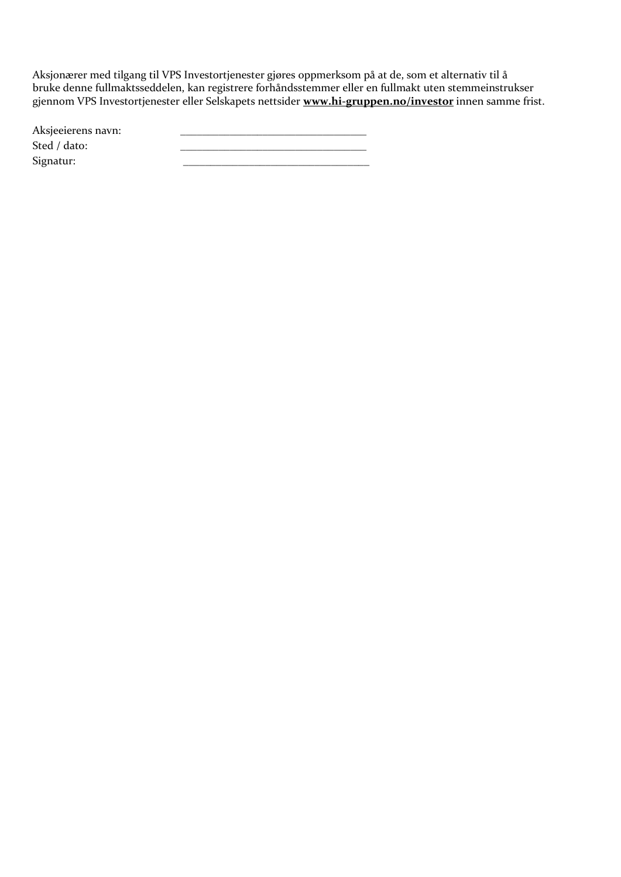Aksjonærer med tilgang til VPS Investortjenester gjøres oppmerksom på at de, som et alternativ til å bruke denne fullmaktsseddelen, kan registrere forhåndsstemmer eller en fullmakt uten stemmeinstrukser gjennom VPS Investortjenester eller Selskapets nettsider **[www.hi-gruppen.no/investor](http://www.hi-gruppen.no/investor)** innen samme frist.

| Aksjeeierens navn: |  |
|--------------------|--|
| Sted / dato:       |  |
| Signatur:          |  |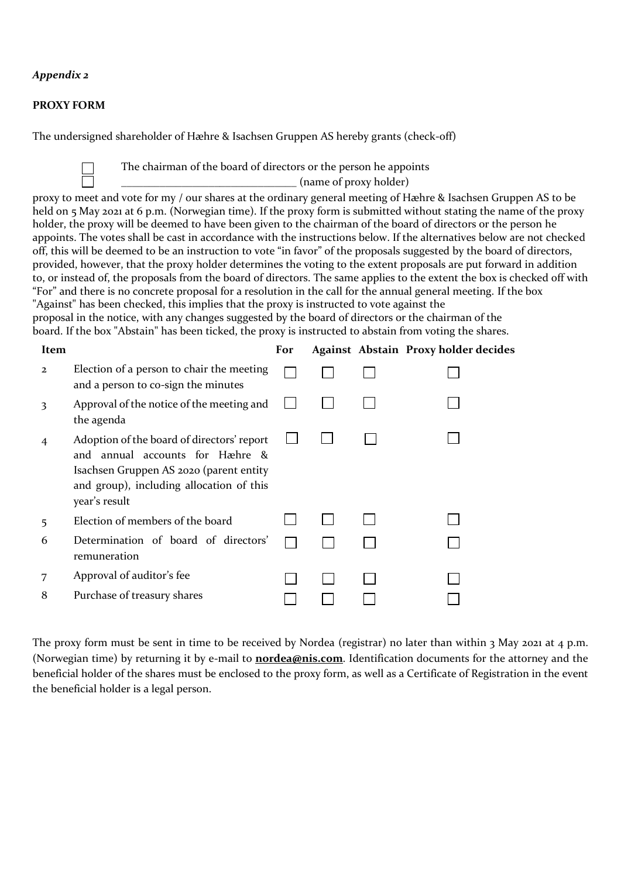## *Appendix 2*

### **PROXY FORM**

The undersigned shareholder of Hæhre & Isachsen Gruppen AS hereby grants (check-off)

The chairman of the board of directors or the person he appoints

 $_$  (name of proxy holder)

proxy to meet and vote for my / our shares at the ordinary general meeting of Hæhre & Isachsen Gruppen AS to be held on 5 May 2021 at 6 p.m. (Norwegian time). If the proxy form is submitted without stating the name of the proxy holder, the proxy will be deemed to have been given to the chairman of the board of directors or the person he appoints. The votes shall be cast in accordance with the instructions below. If the alternatives below are not checked off, this will be deemed to be an instruction to vote "in favor" of the proposals suggested by the board of directors, provided, however, that the proxy holder determines the voting to the extent proposals are put forward in addition to, or instead of, the proposals from the board of directors. The same applies to the extent the box is checked off with "For" and there is no concrete proposal for a resolution in the call for the annual general meeting. If the box "Against" has been checked, this implies that the proxy is instructed to vote against the

proposal in the notice, with any changes suggested by the board of directors or the chairman of the board. If the box "Abstain" has been ticked, the proxy is instructed to abstain from voting the shares.

| Item           |                                                                                                                                                                                       | For |  | Against Abstain Proxy holder decides |
|----------------|---------------------------------------------------------------------------------------------------------------------------------------------------------------------------------------|-----|--|--------------------------------------|
| $\overline{2}$ | Election of a person to chair the meeting<br>and a person to co-sign the minutes                                                                                                      |     |  |                                      |
| 3              | Approval of the notice of the meeting and<br>the agenda                                                                                                                               |     |  |                                      |
| 4              | Adoption of the board of directors' report<br>and annual accounts for Hæhre &<br>Isachsen Gruppen AS 2020 (parent entity<br>and group), including allocation of this<br>year's result |     |  |                                      |
| 5              | Election of members of the board                                                                                                                                                      |     |  |                                      |
| 6              | Determination of board of directors'<br>remuneration                                                                                                                                  |     |  |                                      |
| 7              | Approval of auditor's fee                                                                                                                                                             |     |  |                                      |
| 8              | Purchase of treasury shares                                                                                                                                                           |     |  |                                      |

The proxy form must be sent in time to be received by Nordea (registrar) no later than within 3 May 2021 at 4 p.m. (Norwegian time) by returning it by e-mail to **[nordea@nis.com](mailto:xxxx@hi-gruppen.com)**. Identification documents for the attorney and the beneficial holder of the shares must be enclosed to the proxy form, as well as a Certificate of Registration in the event the beneficial holder is a legal person.